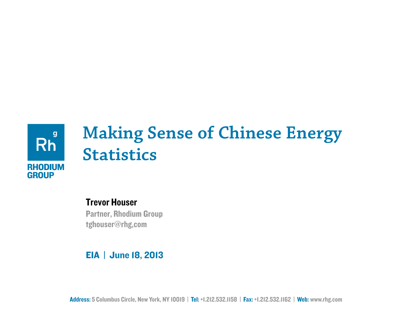

## **Making Sense of Chinese Energy Statistics**

### Trevor Houser

Partner, Rhodium Group tghouser@rhg,com

### EIA | June 18, 2013

Address: 5 Columbus Circle, New York, NY 10019 | Tel: +1.212.532.1158 | Fax: +1.212.532.1162 | Web: www.rhg.com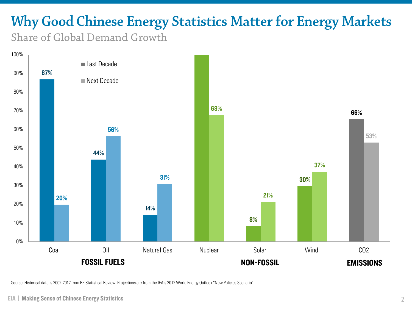# **Why Good Chinese Energy Statistics Matter for Energy Markets**

Share of Global Demand Growth



Source: Historical data is 2002-2012 from BP Statistical Review. Projections are from the IEA's 2012 World Energy Outlook "New Policies Scenario"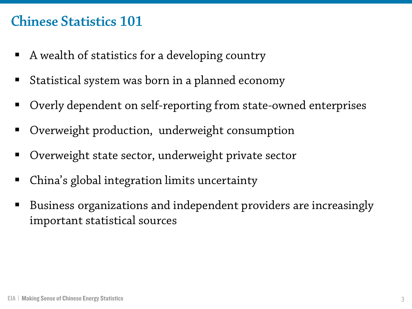### **Chinese Statistics 101**

- A wealth of statistics for a developing country
- Statistical system was born in a planned economy
- Overly dependent on self-reporting from state-owned enterprises
- Overweight production, underweight consumption
- Overweight state sector, underweight private sector
- China's global integration limits uncertainty
- Business organizations and independent providers are increasingly important statistical sources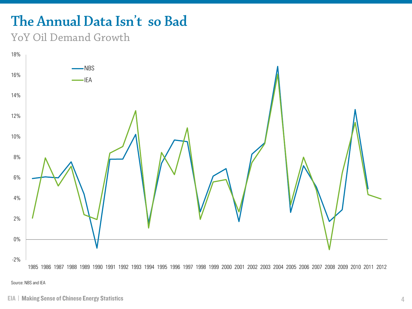## **The Annual Data Isn't so Bad**

### YoY Oil Demand Growth



1985 1986 1987 1988 1989 1990 1991 1992 1993 1994 1995 1996 1997 1998 1999 2000 2001 2002 2003 2004 2005 2006 2007 2008 2009 2010 2011 2012

Source: NBS and IEA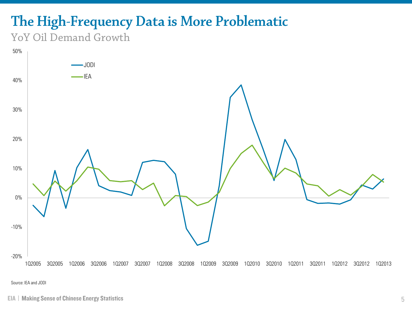## **The High-Frequency Data is More Problematic**

### YoY Oil Demand Growth



Source: IEA and JODI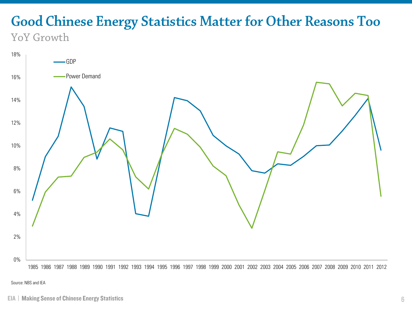### **Good Chinese Energy Statistics Matter for Other Reasons Too** YoY Growth

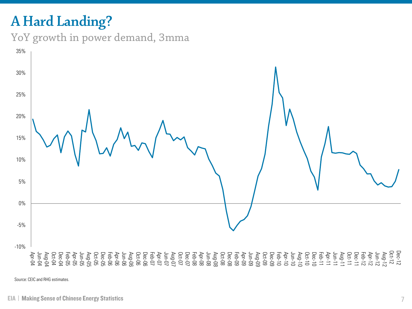## **A Hard Landing?**





Source: CEIC and RHG estimates.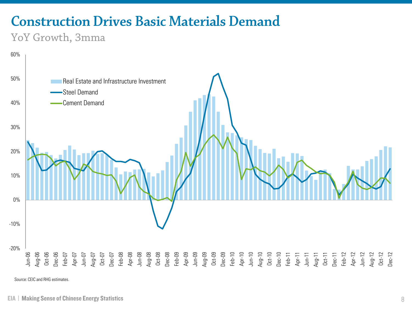## **Construction Drives Basic Materials Demand**

### YoY Growth, 3mma



Source: CEIC and RHG estimates.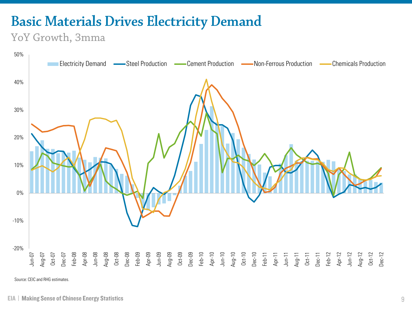## **Basic Materials Drives Electricity Demand**

### YoY Growth, 3mma



Source: CEIC and RHG estimates.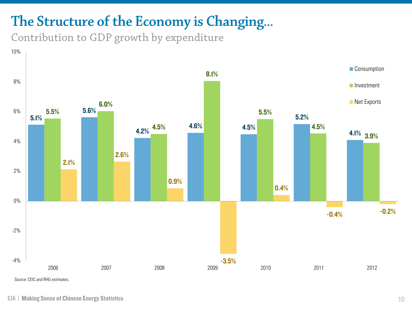## **The Structure of the Economy is Changing…**

Contribution to GDP growth by expenditure

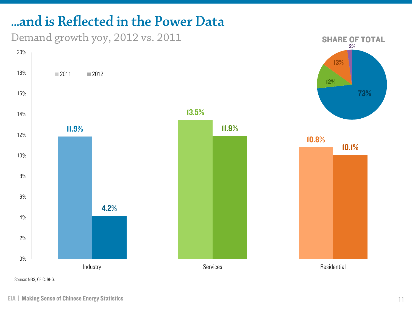## **...and is Reflected in the Power Data**

Demand growth yoy, 2012 vs. 2011